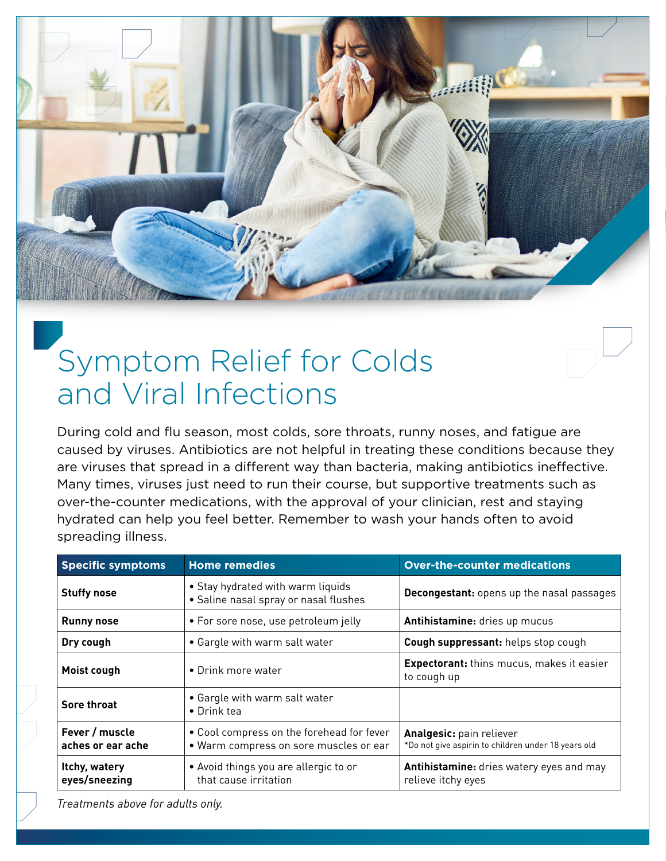

## Symptom Relief for Colds and Viral Infections

During cold and flu season, most colds, sore throats, runny noses, and fatigue are caused by viruses. Antibiotics are not helpful in treating these conditions because they are viruses that spread in a different way than bacteria, making antibiotics ineffective. Many times, viruses just need to run their course, but supportive treatments such as over-the-counter medications, with the approval of your clinician, rest and staying hydrated can help you feel better. Remember to wash your hands often to avoid spreading illness.

| <b>Specific symptoms</b>            | <b>Home remedies</b>                                                                | <b>Over-the-counter medications</b>                                             |
|-------------------------------------|-------------------------------------------------------------------------------------|---------------------------------------------------------------------------------|
| <b>Stuffy nose</b>                  | • Stay hydrated with warm liquids<br>· Saline nasal spray or nasal flushes          | <b>Decongestant:</b> opens up the nasal passages                                |
| <b>Runny nose</b>                   | • For sore nose, use petroleum jelly                                                | Antihistamine: dries up mucus                                                   |
| Dry cough                           | • Gargle with warm salt water                                                       | Cough suppressant: helps stop cough                                             |
| Moist cough                         | • Drink more water                                                                  | <b>Expectorant:</b> thins mucus, makes it easier<br>to cough up                 |
| Sore throat                         | • Gargle with warm salt water<br>$\bullet$ Drink tea                                |                                                                                 |
| Fever / muscle<br>aches or ear ache | . Cool compress on the forehead for fever<br>. Warm compress on sore muscles or ear | Analgesic: pain reliever<br>*Do not give aspirin to children under 18 years old |
| Itchy, watery<br>eyes/sneezing      | • Avoid things you are allergic to or<br>that cause irritation                      | Antihistamine: dries watery eyes and may<br>relieve itchy eyes                  |

*Treatments above for adults only.*